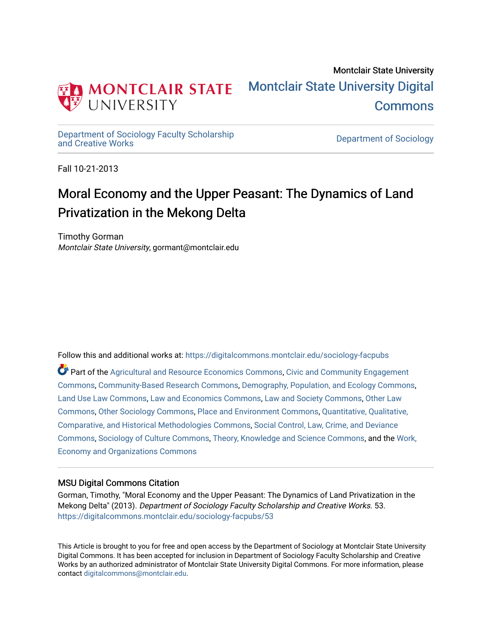

Montclair State University [Montclair State University Digital](https://digitalcommons.montclair.edu/)  [Commons](https://digitalcommons.montclair.edu/) 

[Department of Sociology Faculty Scholarship](https://digitalcommons.montclair.edu/sociology-facpubs)

Department of Sociology

Fall 10-21-2013

# Moral Economy and the Upper Peasant: The Dynamics of Land Privatization in the Mekong Delta

Timothy Gorman Montclair State University, gormant@montclair.edu

Follow this and additional works at: [https://digitalcommons.montclair.edu/sociology-facpubs](https://digitalcommons.montclair.edu/sociology-facpubs?utm_source=digitalcommons.montclair.edu%2Fsociology-facpubs%2F53&utm_medium=PDF&utm_campaign=PDFCoverPages)

Part of the [Agricultural and Resource Economics Commons,](http://network.bepress.com/hgg/discipline/317?utm_source=digitalcommons.montclair.edu%2Fsociology-facpubs%2F53&utm_medium=PDF&utm_campaign=PDFCoverPages) [Civic and Community Engagement](http://network.bepress.com/hgg/discipline/1028?utm_source=digitalcommons.montclair.edu%2Fsociology-facpubs%2F53&utm_medium=PDF&utm_campaign=PDFCoverPages)  [Commons](http://network.bepress.com/hgg/discipline/1028?utm_source=digitalcommons.montclair.edu%2Fsociology-facpubs%2F53&utm_medium=PDF&utm_campaign=PDFCoverPages), [Community-Based Research Commons,](http://network.bepress.com/hgg/discipline/1047?utm_source=digitalcommons.montclair.edu%2Fsociology-facpubs%2F53&utm_medium=PDF&utm_campaign=PDFCoverPages) [Demography, Population, and Ecology Commons](http://network.bepress.com/hgg/discipline/418?utm_source=digitalcommons.montclair.edu%2Fsociology-facpubs%2F53&utm_medium=PDF&utm_campaign=PDFCoverPages), [Land Use Law Commons,](http://network.bepress.com/hgg/discipline/852?utm_source=digitalcommons.montclair.edu%2Fsociology-facpubs%2F53&utm_medium=PDF&utm_campaign=PDFCoverPages) [Law and Economics Commons](http://network.bepress.com/hgg/discipline/612?utm_source=digitalcommons.montclair.edu%2Fsociology-facpubs%2F53&utm_medium=PDF&utm_campaign=PDFCoverPages), [Law and Society Commons,](http://network.bepress.com/hgg/discipline/853?utm_source=digitalcommons.montclair.edu%2Fsociology-facpubs%2F53&utm_medium=PDF&utm_campaign=PDFCoverPages) [Other Law](http://network.bepress.com/hgg/discipline/621?utm_source=digitalcommons.montclair.edu%2Fsociology-facpubs%2F53&utm_medium=PDF&utm_campaign=PDFCoverPages) [Commons](http://network.bepress.com/hgg/discipline/621?utm_source=digitalcommons.montclair.edu%2Fsociology-facpubs%2F53&utm_medium=PDF&utm_campaign=PDFCoverPages), [Other Sociology Commons](http://network.bepress.com/hgg/discipline/434?utm_source=digitalcommons.montclair.edu%2Fsociology-facpubs%2F53&utm_medium=PDF&utm_campaign=PDFCoverPages), [Place and Environment Commons,](http://network.bepress.com/hgg/discipline/424?utm_source=digitalcommons.montclair.edu%2Fsociology-facpubs%2F53&utm_medium=PDF&utm_campaign=PDFCoverPages) [Quantitative, Qualitative,](http://network.bepress.com/hgg/discipline/423?utm_source=digitalcommons.montclair.edu%2Fsociology-facpubs%2F53&utm_medium=PDF&utm_campaign=PDFCoverPages) [Comparative, and Historical Methodologies Commons,](http://network.bepress.com/hgg/discipline/423?utm_source=digitalcommons.montclair.edu%2Fsociology-facpubs%2F53&utm_medium=PDF&utm_campaign=PDFCoverPages) [Social Control, Law, Crime, and Deviance](http://network.bepress.com/hgg/discipline/429?utm_source=digitalcommons.montclair.edu%2Fsociology-facpubs%2F53&utm_medium=PDF&utm_campaign=PDFCoverPages)  [Commons](http://network.bepress.com/hgg/discipline/429?utm_source=digitalcommons.montclair.edu%2Fsociology-facpubs%2F53&utm_medium=PDF&utm_campaign=PDFCoverPages), [Sociology of Culture Commons,](http://network.bepress.com/hgg/discipline/431?utm_source=digitalcommons.montclair.edu%2Fsociology-facpubs%2F53&utm_medium=PDF&utm_campaign=PDFCoverPages) [Theory, Knowledge and Science Commons,](http://network.bepress.com/hgg/discipline/432?utm_source=digitalcommons.montclair.edu%2Fsociology-facpubs%2F53&utm_medium=PDF&utm_campaign=PDFCoverPages) and the [Work,](http://network.bepress.com/hgg/discipline/433?utm_source=digitalcommons.montclair.edu%2Fsociology-facpubs%2F53&utm_medium=PDF&utm_campaign=PDFCoverPages)  [Economy and Organizations Commons](http://network.bepress.com/hgg/discipline/433?utm_source=digitalcommons.montclair.edu%2Fsociology-facpubs%2F53&utm_medium=PDF&utm_campaign=PDFCoverPages) 

## MSU Digital Commons Citation

Gorman, Timothy, "Moral Economy and the Upper Peasant: The Dynamics of Land Privatization in the Mekong Delta" (2013). Department of Sociology Faculty Scholarship and Creative Works. 53. [https://digitalcommons.montclair.edu/sociology-facpubs/53](https://digitalcommons.montclair.edu/sociology-facpubs/53?utm_source=digitalcommons.montclair.edu%2Fsociology-facpubs%2F53&utm_medium=PDF&utm_campaign=PDFCoverPages) 

This Article is brought to you for free and open access by the Department of Sociology at Montclair State University Digital Commons. It has been accepted for inclusion in Department of Sociology Faculty Scholarship and Creative Works by an authorized administrator of Montclair State University Digital Commons. For more information, please contact [digitalcommons@montclair.edu](mailto:digitalcommons@montclair.edu).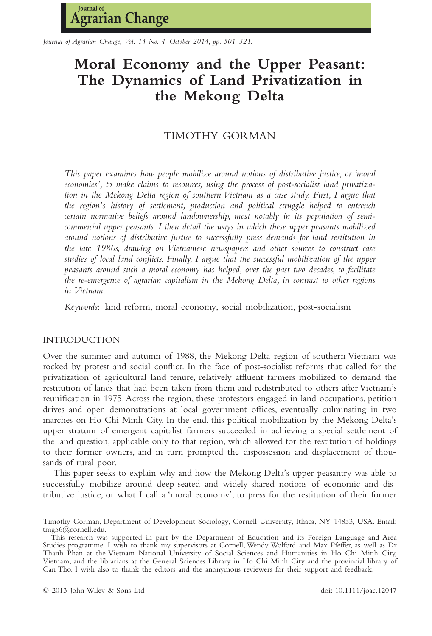

*Journal of Agrarian Change, Vol. 14 No. 4, October 2014, pp. 501–521.*

## **Moral Economy and the Upper Peasant: The Dynamics of Land Privatization in the Mekong Delta**

## TIMOTHY GORMAN

*This paper examines how people mobilize around notions of distributive justice, or 'moral economies', to make claims to resources, using the process of post-socialist land privatization in the Mekong Delta region of southern Vietnam as a case study. First, I argue that the region's history of settlement, production and political struggle helped to entrench certain normative beliefs around landownership, most notably in its population of semicommercial upper peasants. I then detail the ways in which these upper peasants mobilized around notions of distributive justice to successfully press demands for land restitution in the late 1980s, drawing on Vietnamese newspapers and other sources to construct case studies of local land conflicts. Finally, I argue that the successful mobilization of the upper peasants around such a moral economy has helped, over the past two decades, to facilitate the re-emergence of agrarian capitalism in the Mekong Delta, in contrast to other regions in Vietnam.*

*Keywords*: land reform, moral economy, social mobilization, post-socialism

#### INTRODUCTION

Over the summer and autumn of 1988, the Mekong Delta region of southern Vietnam was rocked by protest and social conflict. In the face of post-socialist reforms that called for the privatization of agricultural land tenure, relatively affluent farmers mobilized to demand the restitution of lands that had been taken from them and redistributed to others after Vietnam's reunification in 1975. Across the region, these protestors engaged in land occupations, petition drives and open demonstrations at local government offices, eventually culminating in two marches on Ho Chi Minh City. In the end, this political mobilization by the Mekong Delta's upper stratum of emergent capitalist farmers succeeded in achieving a special settlement of the land question, applicable only to that region, which allowed for the restitution of holdings to their former owners, and in turn prompted the dispossession and displacement of thousands of rural poor.

This paper seeks to explain why and how the Mekong Delta's upper peasantry was able to successfully mobilize around deep-seated and widely-shared notions of economic and distributive justice, or what I call a 'moral economy', to press for the restitution of their former

Timothy Gorman, Department of Development Sociology, Cornell University, Ithaca, NY 14853, USA. Email: [tmg56@cornell.edu.](mailto:tmg56@cornell.edu)

This research was supported in part by the Department of Education and its Foreign Language and Area Studies programme. I wish to thank my supervisors at Cornell, Wendy Wolford and Max Pfeffer, as well as Dr Thanh Phan at the Vietnam National University of Social Sciences and Humanities in Ho Chi Minh City, Vietnam, and the librarians at the General Sciences Library in Ho Chi Minh City and the provincial library of Can Tho. I wish also to thank the editors and the anonymous reviewers for their support and feedback.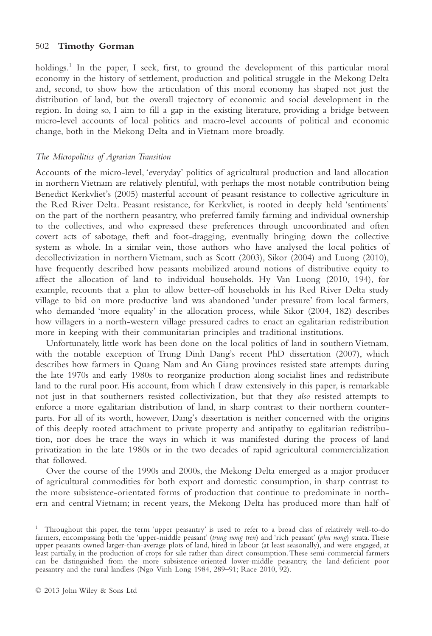holdings.<sup>1</sup> In the paper, I seek, first, to ground the development of this particular moral economy in the history of settlement, production and political struggle in the Mekong Delta and, second, to show how the articulation of this moral economy has shaped not just the distribution of land, but the overall trajectory of economic and social development in the region. In doing so, I aim to fill a gap in the existing literature, providing a bridge between micro-level accounts of local politics and macro-level accounts of political and economic change, both in the Mekong Delta and in Vietnam more broadly.

#### *The Micropolitics of Agrarian Transition*

Accounts of the micro-level, 'everyday' politics of agricultural production and land allocation in northern Vietnam are relatively plentiful, with perhaps the most notable contribution being Benedict Kerkvliet's (2005) masterful account of peasant resistance to collective agriculture in the Red River Delta. Peasant resistance, for Kerkvliet, is rooted in deeply held 'sentiments' on the part of the northern peasantry, who preferred family farming and individual ownership to the collectives, and who expressed these preferences through uncoordinated and often covert acts of sabotage, theft and foot-dragging, eventually bringing down the collective system as whole. In a similar vein, those authors who have analysed the local politics of decollectivization in northern Vietnam, such as Scott (2003), Sikor (2004) and Luong (2010), have frequently described how peasants mobilized around notions of distributive equity to affect the allocation of land to individual households. Hy Van Luong (2010, 194), for example, recounts that a plan to allow better-off households in his Red River Delta study village to bid on more productive land was abandoned 'under pressure' from local farmers, who demanded 'more equality' in the allocation process, while Sikor (2004, 182) describes how villagers in a north-western village pressured cadres to enact an egalitarian redistribution more in keeping with their communitarian principles and traditional institutions.

Unfortunately, little work has been done on the local politics of land in southern Vietnam, with the notable exception of Trung Dinh Dang's recent PhD dissertation (2007), which describes how farmers in Quang Nam and An Giang provinces resisted state attempts during the late 1970s and early 1980s to reorganize production along socialist lines and redistribute land to the rural poor. His account, from which I draw extensively in this paper, is remarkable not just in that southerners resisted collectivization, but that they *also* resisted attempts to enforce a more egalitarian distribution of land, in sharp contrast to their northern counterparts. For all of its worth, however, Dang's dissertation is neither concerned with the origins of this deeply rooted attachment to private property and antipathy to egalitarian redistribution, nor does he trace the ways in which it was manifested during the process of land privatization in the late 1980s or in the two decades of rapid agricultural commercialization that followed.

Over the course of the 1990s and 2000s, the Mekong Delta emerged as a major producer of agricultural commodities for both export and domestic consumption, in sharp contrast to the more subsistence-orientated forms of production that continue to predominate in northern and central Vietnam; in recent years, the Mekong Delta has produced more than half of

<sup>1</sup> Throughout this paper, the term 'upper peasantry' is used to refer to a broad class of relatively well-to-do farmers, encompassing both the 'upper-middle peasant' (*trung nong tren*) and 'rich peasant' (*phu nong*) strata. These upper peasants owned larger-than-average plots of land, hired in labour (at least seasonally), and were engaged, at least partially, in the production of crops for sale rather than direct consumption.These semi-commercial farmers can be distinguished from the more subsistence-oriented lower-middle peasantry, the land-deficient poor peasantry and the rural landless (Ngo Vinh Long 1984, 289–91; Race 2010, 92).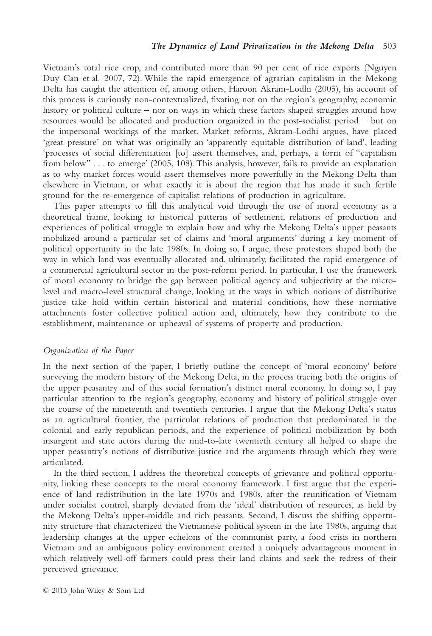Vietnam's total rice crop, and contributed more than 90 per cent of rice exports (Nguyen Duy Can et al. 2007, 72). While the rapid emergence of agrarian capitalism in the Mekong Delta has caught the attention of, among others, Haroon Akram-Lodhi (2005), his account of this process is curiously non-contextualized, fixating not on the region's geography, economic history or political culture – nor on ways in which these factors shaped struggles around how resources would be allocated and production organized in the post-socialist period – but on the impersonal workings of the market. Market reforms, Akram-Lodhi argues, have placed 'great pressure' on what was originally an 'apparently equitable distribution of land', leading 'processes of social differentiation [to] assert themselves, and, perhaps, a form of "capitalism from below" . . . to emerge' (2005, 108).This analysis, however, fails to provide an explanation as to why market forces would assert themselves more powerfully in the Mekong Delta than elsewhere in Vietnam, or what exactly it is about the region that has made it such fertile ground for the re-emergence of capitalist relations of production in agriculture.

This paper attempts to fill this analytical void through the use of moral economy as a theoretical frame, looking to historical patterns of settlement, relations of production and experiences of political struggle to explain how and why the Mekong Delta's upper peasants mobilized around a particular set of claims and 'moral arguments' during a key moment of political opportunity in the late 1980s. In doing so, I argue, these protestors shaped both the way in which land was eventually allocated and, ultimately, facilitated the rapid emergence of a commercial agricultural sector in the post-reform period. In particular, I use the framework of moral economy to bridge the gap between political agency and subjectivity at the microlevel and macro-level structural change, looking at the ways in which notions of distributive justice take hold within certain historical and material conditions, how these normative attachments foster collective political action and, ultimately, how they contribute to the establishment, maintenance or upheaval of systems of property and production.

#### *Organization of the Paper*

In the next section of the paper, I briefly outline the concept of 'moral economy' before surveying the modern history of the Mekong Delta, in the process tracing both the origins of the upper peasantry and of this social formation's distinct moral economy. In doing so, I pay particular attention to the region's geography, economy and history of political struggle over the course of the nineteenth and twentieth centuries. I argue that the Mekong Delta's status as an agricultural frontier, the particular relations of production that predominated in the colonial and early republican periods, and the experience of political mobilization by both insurgent and state actors during the mid-to-late twentieth century all helped to shape the upper peasantry's notions of distributive justice and the arguments through which they were articulated.

In the third section, I address the theoretical concepts of grievance and political opportunity, linking these concepts to the moral economy framework. I first argue that the experience of land redistribution in the late 1970s and 1980s, after the reunification of Vietnam under socialist control, sharply deviated from the 'ideal' distribution of resources, as held by the Mekong Delta's upper-middle and rich peasants. Second, I discuss the shifting opportunity structure that characterized the Vietnamese political system in the late 1980s, arguing that leadership changes at the upper echelons of the communist party, a food crisis in northern Vietnam and an ambiguous policy environment created a uniquely advantageous moment in which relatively well-off farmers could press their land claims and seek the redress of their perceived grievance.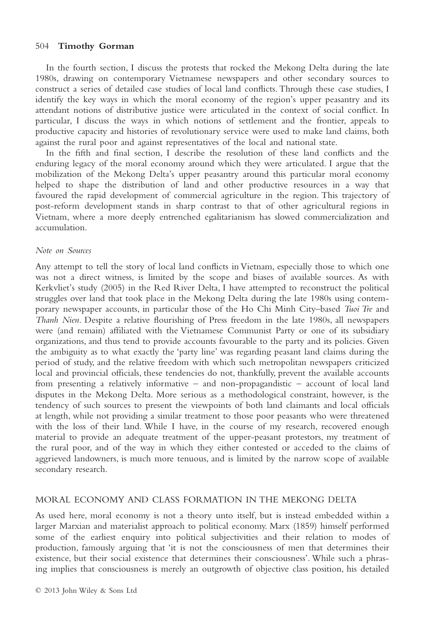In the fourth section, I discuss the protests that rocked the Mekong Delta during the late 1980s, drawing on contemporary Vietnamese newspapers and other secondary sources to construct a series of detailed case studies of local land conflicts. Through these case studies, I identify the key ways in which the moral economy of the region's upper peasantry and its attendant notions of distributive justice were articulated in the context of social conflict. In particular, I discuss the ways in which notions of settlement and the frontier, appeals to productive capacity and histories of revolutionary service were used to make land claims, both against the rural poor and against representatives of the local and national state.

In the fifth and final section, I describe the resolution of these land conflicts and the enduring legacy of the moral economy around which they were articulated. I argue that the mobilization of the Mekong Delta's upper peasantry around this particular moral economy helped to shape the distribution of land and other productive resources in a way that favoured the rapid development of commercial agriculture in the region. This trajectory of post-reform development stands in sharp contrast to that of other agricultural regions in Vietnam, where a more deeply entrenched egalitarianism has slowed commercialization and accumulation.

#### *Note on Sources*

Any attempt to tell the story of local land conflicts in Vietnam, especially those to which one was not a direct witness, is limited by the scope and biases of available sources. As with Kerkvliet's study (2005) in the Red River Delta, I have attempted to reconstruct the political struggles over land that took place in the Mekong Delta during the late 1980s using contemporary newspaper accounts, in particular those of the Ho Chi Minh City–based *Tuoi Tre* and *Thanh Nien*. Despite a relative flourishing of Press freedom in the late 1980s, all newspapers were (and remain) affiliated with the Vietnamese Communist Party or one of its subsidiary organizations, and thus tend to provide accounts favourable to the party and its policies. Given the ambiguity as to what exactly the 'party line' was regarding peasant land claims during the period of study, and the relative freedom with which such metropolitan newspapers criticized local and provincial officials, these tendencies do not, thankfully, prevent the available accounts from presenting a relatively informative – and non-propagandistic – account of local land disputes in the Mekong Delta. More serious as a methodological constraint, however, is the tendency of such sources to present the viewpoints of both land claimants and local officials at length, while not providing a similar treatment to those poor peasants who were threatened with the loss of their land. While I have, in the course of my research, recovered enough material to provide an adequate treatment of the upper-peasant protestors, my treatment of the rural poor, and of the way in which they either contested or acceded to the claims of aggrieved landowners, is much more tenuous, and is limited by the narrow scope of available secondary research.

### MORAL ECONOMY AND CLASS FORMATION IN THE MEKONG DELTA

As used here, moral economy is not a theory unto itself, but is instead embedded within a larger Marxian and materialist approach to political economy. Marx (1859) himself performed some of the earliest enquiry into political subjectivities and their relation to modes of production, famously arguing that 'it is not the consciousness of men that determines their existence, but their social existence that determines their consciousness'. While such a phrasing implies that consciousness is merely an outgrowth of objective class position, his detailed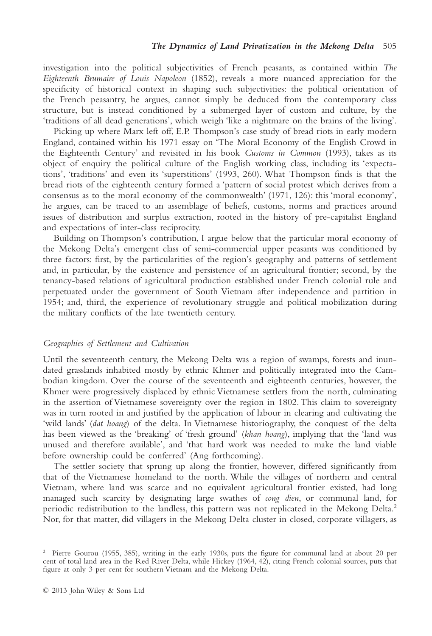investigation into the political subjectivities of French peasants, as contained within *The Eighteenth Brumaire of Louis Napoleon* (1852), reveals a more nuanced appreciation for the specificity of historical context in shaping such subjectivities: the political orientation of the French peasantry, he argues, cannot simply be deduced from the contemporary class structure, but is instead conditioned by a submerged layer of custom and culture, by the 'traditions of all dead generations', which weigh 'like a nightmare on the brains of the living'.

Picking up where Marx left off, E.P. Thompson's case study of bread riots in early modern England, contained within his 1971 essay on 'The Moral Economy of the English Crowd in the Eighteenth Century' and revisited in his book *Customs in Common* (1993), takes as its object of enquiry the political culture of the English working class, including its 'expectations', 'traditions' and even its 'superstitions' (1993, 260). What Thompson finds is that the bread riots of the eighteenth century formed a 'pattern of social protest which derives from a consensus as to the moral economy of the commonwealth' (1971, 126): this 'moral economy', he argues, can be traced to an assemblage of beliefs, customs, norms and practices around issues of distribution and surplus extraction, rooted in the history of pre-capitalist England and expectations of inter-class reciprocity.

Building on Thompson's contribution, I argue below that the particular moral economy of the Mekong Delta's emergent class of semi-commercial upper peasants was conditioned by three factors: first, by the particularities of the region's geography and patterns of settlement and, in particular, by the existence and persistence of an agricultural frontier; second, by the tenancy-based relations of agricultural production established under French colonial rule and perpetuated under the government of South Vietnam after independence and partition in 1954; and, third, the experience of revolutionary struggle and political mobilization during the military conflicts of the late twentieth century.

#### *Geographies of Settlement and Cultivation*

Until the seventeenth century, the Mekong Delta was a region of swamps, forests and inundated grasslands inhabited mostly by ethnic Khmer and politically integrated into the Cambodian kingdom. Over the course of the seventeenth and eighteenth centuries, however, the Khmer were progressively displaced by ethnic Vietnamese settlers from the north, culminating in the assertion of Vietnamese sovereignty over the region in 1802. This claim to sovereignty was in turn rooted in and justified by the application of labour in clearing and cultivating the 'wild lands' (*dat hoang*) of the delta. In Vietnamese historiography, the conquest of the delta has been viewed as the 'breaking' of 'fresh ground' (*khan hoang*), implying that the 'land was unused and therefore available', and 'that hard work was needed to make the land viable before ownership could be conferred' (Ang forthcoming).

The settler society that sprung up along the frontier, however, differed significantly from that of the Vietnamese homeland to the north. While the villages of northern and central Vietnam, where land was scarce and no equivalent agricultural frontier existed, had long managed such scarcity by designating large swathes of *cong dien*, or communal land, for periodic redistribution to the landless, this pattern was not replicated in the Mekong Delta.<sup>2</sup> Nor, for that matter, did villagers in the Mekong Delta cluster in closed, corporate villagers, as

<sup>2</sup> Pierre Gourou (1955, 385), writing in the early 1930s, puts the figure for communal land at about 20 per cent of total land area in the Red River Delta, while Hickey (1964, 42), citing French colonial sources, puts that figure at only 3 per cent for southern Vietnam and the Mekong Delta.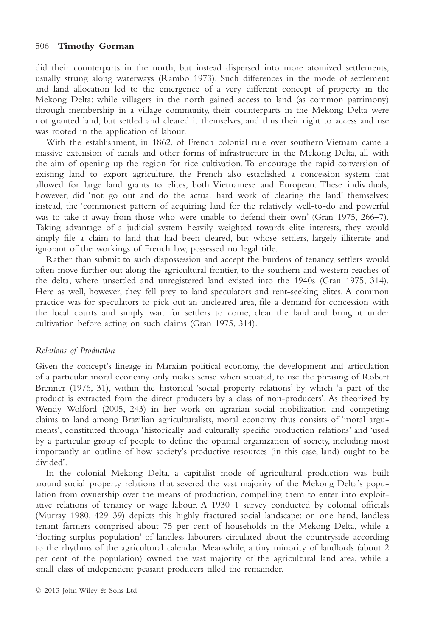did their counterparts in the north, but instead dispersed into more atomized settlements, usually strung along waterways (Rambo 1973). Such differences in the mode of settlement and land allocation led to the emergence of a very different concept of property in the Mekong Delta: while villagers in the north gained access to land (as common patrimony) through membership in a village community, their counterparts in the Mekong Delta were not granted land, but settled and cleared it themselves, and thus their right to access and use was rooted in the application of labour.

With the establishment, in 1862, of French colonial rule over southern Vietnam came a massive extension of canals and other forms of infrastructure in the Mekong Delta, all with the aim of opening up the region for rice cultivation. To encourage the rapid conversion of existing land to export agriculture, the French also established a concession system that allowed for large land grants to elites, both Vietnamese and European. These individuals, however, did 'not go out and do the actual hard work of clearing the land' themselves; instead, the 'commonest pattern of acquiring land for the relatively well-to-do and powerful was to take it away from those who were unable to defend their own' (Gran 1975, 266–7). Taking advantage of a judicial system heavily weighted towards elite interests, they would simply file a claim to land that had been cleared, but whose settlers, largely illiterate and ignorant of the workings of French law, possessed no legal title.

Rather than submit to such dispossession and accept the burdens of tenancy, settlers would often move further out along the agricultural frontier, to the southern and western reaches of the delta, where unsettled and unregistered land existed into the 1940s (Gran 1975, 314). Here as well, however, they fell prey to land speculators and rent-seeking elites. A common practice was for speculators to pick out an uncleared area, file a demand for concession with the local courts and simply wait for settlers to come, clear the land and bring it under cultivation before acting on such claims (Gran 1975, 314).

#### *Relations of Production*

Given the concept's lineage in Marxian political economy, the development and articulation of a particular moral economy only makes sense when situated, to use the phrasing of Robert Brenner (1976, 31), within the historical 'social–property relations' by which 'a part of the product is extracted from the direct producers by a class of non-producers'. As theorized by Wendy Wolford (2005, 243) in her work on agrarian social mobilization and competing claims to land among Brazilian agriculturalists, moral economy thus consists of 'moral arguments', constituted through 'historically and culturally specific production relations' and 'used by a particular group of people to define the optimal organization of society, including most importantly an outline of how society's productive resources (in this case, land) ought to be divided'.

In the colonial Mekong Delta, a capitalist mode of agricultural production was built around social–property relations that severed the vast majority of the Mekong Delta's population from ownership over the means of production, compelling them to enter into exploitative relations of tenancy or wage labour. A 1930–1 survey conducted by colonial officials (Murray 1980, 429–39) depicts this highly fractured social landscape: on one hand, landless tenant farmers comprised about 75 per cent of households in the Mekong Delta, while a 'floating surplus population' of landless labourers circulated about the countryside according to the rhythms of the agricultural calendar. Meanwhile, a tiny minority of landlords (about 2 per cent of the population) owned the vast majority of the agricultural land area, while a small class of independent peasant producers tilled the remainder.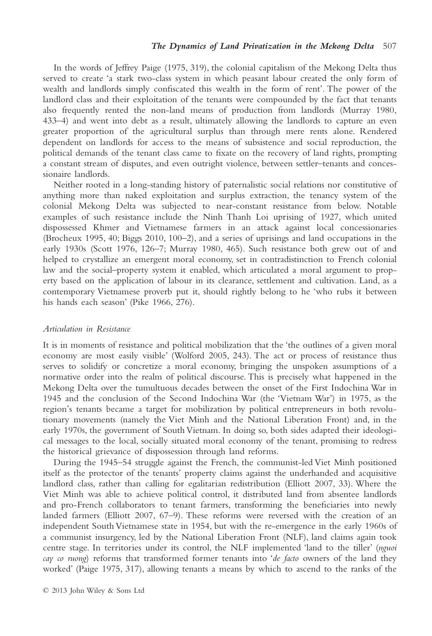In the words of Jeffrey Paige (1975, 319), the colonial capitalism of the Mekong Delta thus served to create 'a stark two-class system in which peasant labour created the only form of wealth and landlords simply confiscated this wealth in the form of rent'. The power of the landlord class and their exploitation of the tenants were compounded by the fact that tenants also frequently rented the non-land means of production from landlords (Murray 1980, 433–4) and went into debt as a result, ultimately allowing the landlords to capture an even greater proportion of the agricultural surplus than through mere rents alone. Rendered dependent on landlords for access to the means of subsistence and social reproduction, the political demands of the tenant class came to fixate on the recovery of land rights, prompting a constant stream of disputes, and even outright violence, between settler–tenants and concessionaire landlords.

Neither rooted in a long-standing history of paternalistic social relations nor constitutive of anything more than naked exploitation and surplus extraction, the tenancy system of the colonial Mekong Delta was subjected to near-constant resistance from below. Notable examples of such resistance include the Ninh Thanh Loi uprising of 1927, which united dispossessed Khmer and Vietnamese farmers in an attack against local concessionaries (Brocheux 1995, 40; Biggs 2010, 100–2), and a series of uprisings and land occupations in the early 1930s (Scott 1976, 126–7; Murray 1980, 465). Such resistance both grew out of and helped to crystallize an emergent moral economy, set in contradistinction to French colonial law and the social–property system it enabled, which articulated a moral argument to property based on the application of labour in its clearance, settlement and cultivation. Land, as a contemporary Vietnamese proverb put it, should rightly belong to he 'who rubs it between his hands each season' (Pike 1966, 276).

#### *Articulation in Resistance*

It is in moments of resistance and political mobilization that the 'the outlines of a given moral economy are most easily visible' (Wolford 2005, 243). The act or process of resistance thus serves to solidify or concretize a moral economy, bringing the unspoken assumptions of a normative order into the realm of political discourse. This is precisely what happened in the Mekong Delta over the tumultuous decades between the onset of the First Indochina War in 1945 and the conclusion of the Second Indochina War (the 'Vietnam War') in 1975, as the region's tenants became a target for mobilization by political entrepreneurs in both revolutionary movements (namely the Viet Minh and the National Liberation Front) and, in the early 1970s, the government of South Vietnam. In doing so, both sides adapted their ideological messages to the local, socially situated moral economy of the tenant, promising to redress the historical grievance of dispossession through land reforms.

During the 1945–54 struggle against the French, the communist-led Viet Minh positioned itself as the protector of the tenants' property claims against the underhanded and acquisitive landlord class, rather than calling for egalitarian redistribution (Elliott 2007, 33). Where the Viet Minh was able to achieve political control, it distributed land from absentee landlords and pro-French collaborators to tenant farmers, transforming the beneficiaries into newly landed farmers (Elliott 2007, 67–9). These reforms were reversed with the creation of an independent South Vietnamese state in 1954, but with the re-emergence in the early 1960s of a communist insurgency, led by the National Liberation Front (NLF), land claims again took centre stage. In territories under its control, the NLF implemented 'land to the tiller' (*nguoi cay co ruong*) reforms that transformed former tenants into '*de facto* owners of the land they worked' (Paige 1975, 317), allowing tenants a means by which to ascend to the ranks of the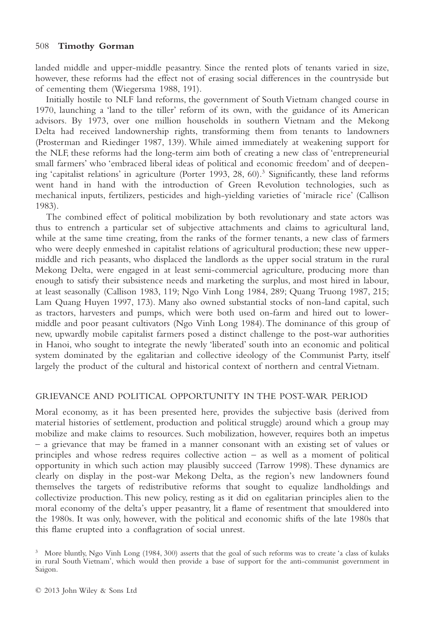landed middle and upper-middle peasantry. Since the rented plots of tenants varied in size, however, these reforms had the effect not of erasing social differences in the countryside but of cementing them (Wiegersma 1988, 191).

Initially hostile to NLF land reforms, the government of South Vietnam changed course in 1970, launching a 'land to the tiller' reform of its own, with the guidance of its American advisors. By 1973, over one million households in southern Vietnam and the Mekong Delta had received landownership rights, transforming them from tenants to landowners (Prosterman and Riedinger 1987, 139). While aimed immediately at weakening support for the NLF, these reforms had the long-term aim both of creating a new class of 'entrepreneurial small farmers' who 'embraced liberal ideas of political and economic freedom' and of deepening 'capitalist relations' in agriculture (Porter 1993, 28,  $60$ ).<sup>3</sup> Significantly, these land reforms went hand in hand with the introduction of Green Revolution technologies, such as mechanical inputs, fertilizers, pesticides and high-yielding varieties of 'miracle rice' (Callison 1983).

The combined effect of political mobilization by both revolutionary and state actors was thus to entrench a particular set of subjective attachments and claims to agricultural land, while at the same time creating, from the ranks of the former tenants, a new class of farmers who were deeply enmeshed in capitalist relations of agricultural production; these new uppermiddle and rich peasants, who displaced the landlords as the upper social stratum in the rural Mekong Delta, were engaged in at least semi-commercial agriculture, producing more than enough to satisfy their subsistence needs and marketing the surplus, and most hired in labour, at least seasonally (Callison 1983, 119; Ngo Vinh Long 1984, 289; Quang Truong 1987, 215; Lam Quang Huyen 1997, 173). Many also owned substantial stocks of non-land capital, such as tractors, harvesters and pumps, which were both used on-farm and hired out to lowermiddle and poor peasant cultivators (Ngo Vinh Long 1984). The dominance of this group of new, upwardly mobile capitalist farmers posed a distinct challenge to the post-war authorities in Hanoi, who sought to integrate the newly 'liberated' south into an economic and political system dominated by the egalitarian and collective ideology of the Communist Party, itself largely the product of the cultural and historical context of northern and central Vietnam.

#### GRIEVANCE AND POLITICAL OPPORTUNITY IN THE POST-WAR PERIOD

Moral economy, as it has been presented here, provides the subjective basis (derived from material histories of settlement, production and political struggle) around which a group may mobilize and make claims to resources. Such mobilization, however, requires both an impetus – a grievance that may be framed in a manner consonant with an existing set of values or principles and whose redress requires collective action – as well as a moment of political opportunity in which such action may plausibly succeed (Tarrow 1998). These dynamics are clearly on display in the post-war Mekong Delta, as the region's new landowners found themselves the targets of redistributive reforms that sought to equalize landholdings and collectivize production. This new policy, resting as it did on egalitarian principles alien to the moral economy of the delta's upper peasantry, lit a flame of resentment that smouldered into the 1980s. It was only, however, with the political and economic shifts of the late 1980s that this flame erupted into a conflagration of social unrest.

<sup>&</sup>lt;sup>3</sup> More bluntly, Ngo Vinh Long (1984, 300) asserts that the goal of such reforms was to create 'a class of kulaks in rural South Vietnam', which would then provide a base of support for the anti-communist government in Saigon.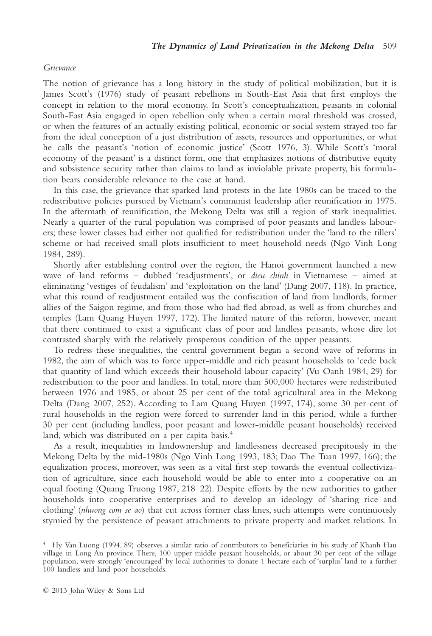#### *Grievance*

The notion of grievance has a long history in the study of political mobilization, but it is James Scott's (1976) study of peasant rebellions in South-East Asia that first employs the concept in relation to the moral economy. In Scott's conceptualization, peasants in colonial South-East Asia engaged in open rebellion only when a certain moral threshold was crossed, or when the features of an actually existing political, economic or social system strayed too far from the ideal conception of a just distribution of assets, resources and opportunities, or what he calls the peasant's 'notion of economic justice' (Scott 1976, 3). While Scott's 'moral economy of the peasant' is a distinct form, one that emphasizes notions of distributive equity and subsistence security rather than claims to land as inviolable private property, his formulation bears considerable relevance to the case at hand.

In this case, the grievance that sparked land protests in the late 1980s can be traced to the redistributive policies pursued by Vietnam's communist leadership after reunification in 1975. In the aftermath of reunification, the Mekong Delta was still a region of stark inequalities. Nearly a quarter of the rural population was comprised of poor peasants and landless labourers; these lower classes had either not qualified for redistribution under the 'land to the tillers' scheme or had received small plots insufficient to meet household needs (Ngo Vinh Long 1984, 289).

Shortly after establishing control over the region, the Hanoi government launched a new wave of land reforms – dubbed 'readjustments', or *dieu chinh* in Vietnamese – aimed at eliminating 'vestiges of feudalism' and 'exploitation on the land' (Dang 2007, 118). In practice, what this round of readjustment entailed was the confiscation of land from landlords, former allies of the Saigon regime, and from those who had fled abroad, as well as from churches and temples (Lam Quang Huyen 1997, 172). The limited nature of this reform, however, meant that there continued to exist a significant class of poor and landless peasants, whose dire lot contrasted sharply with the relatively prosperous condition of the upper peasants.

To redress these inequalities, the central government began a second wave of reforms in 1982, the aim of which was to force upper-middle and rich peasant households to 'cede back that quantity of land which exceeds their household labour capacity' (Vu Oanh 1984, 29) for redistribution to the poor and landless. In total, more than 500,000 hectares were redistributed between 1976 and 1985, or about 25 per cent of the total agricultural area in the Mekong Delta (Dang 2007, 252). According to Lam Quang Huyen (1997, 174), some 30 per cent of rural households in the region were forced to surrender land in this period, while a further 30 per cent (including landless, poor peasant and lower-middle peasant households) received land, which was distributed on a per capita basis.<sup>4</sup>

As a result, inequalities in landownership and landlessness decreased precipitously in the Mekong Delta by the mid-1980s (Ngo Vinh Long 1993, 183; Dao The Tuan 1997, 166); the equalization process, moreover, was seen as a vital first step towards the eventual collectivization of agriculture, since each household would be able to enter into a cooperative on an equal footing (Quang Truong 1987, 218–22). Despite efforts by the new authorities to gather households into cooperative enterprises and to develop an ideology of 'sharing rice and clothing' (*nhuong com se ao*) that cut across former class lines, such attempts were continuously stymied by the persistence of peasant attachments to private property and market relations. In

<sup>4</sup> Hy Van Luong (1994, 89) observes a similar ratio of contributors to beneficiaries in his study of Khanh Hau village in Long An province. There, 100 upper-middle peasant households, or about 30 per cent of the village population, were strongly 'encouraged' by local authorities to donate 1 hectare each of 'surplus' land to a further 100 landless and land-poor households.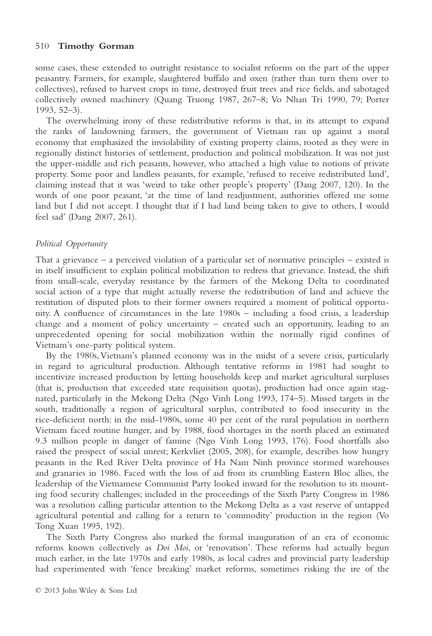some cases, these extended to outright resistance to socialist reforms on the part of the upper peasantry. Farmers, for example, slaughtered buffalo and oxen (rather than turn them over to collectives), refused to harvest crops in time, destroyed fruit trees and rice fields, and sabotaged collectively owned machinery (Quang Truong 1987, 267–8; Vo Nhan Tri 1990, 79; Porter 1993, 52–3).

The overwhelming irony of these redistributive reforms is that, in its attempt to expand the ranks of landowning farmers, the government of Vietnam ran up against a moral economy that emphasized the inviolability of existing property claims, rooted as they were in regionally distinct histories of settlement, production and political mobilization. It was not just the upper-middle and rich peasants, however, who attached a high value to notions of private property. Some poor and landless peasants, for example, 'refused to receive redistributed land', claiming instead that it was 'weird to take other people's property' (Dang 2007, 120). In the words of one poor peasant, 'at the time of land readjustment, authorities offered me some land but I did not accept. I thought that if I had land being taken to give to others, I would feel sad' (Dang 2007, 261).

#### *Political Opportunity*

That a grievance – a perceived violation of a particular set of normative principles – existed is in itself insufficient to explain political mobilization to redress that grievance. Instead, the shift from small-scale, everyday resistance by the farmers of the Mekong Delta to coordinated social action of a type that might actually reverse the redistribution of land and achieve the restitution of disputed plots to their former owners required a moment of political opportunity. A confluence of circumstances in the late 1980s – including a food crisis, a leadership change and a moment of policy uncertainty – created such an opportunity, leading to an unprecedented opening for social mobilization within the normally rigid confines of Vietnam's one-party political system.

By the 1980s, Vietnam's planned economy was in the midst of a severe crisis, particularly in regard to agricultural production. Although tentative reforms in 1981 had sought to incentivize increased production by letting households keep and market agricultural surpluses (that is, production that exceeded state requisition quotas), production had once again stagnated, particularly in the Mekong Delta (Ngo Vinh Long 1993, 174–5). Missed targets in the south, traditionally a region of agricultural surplus, contributed to food insecurity in the rice-deficient north: in the mid-1980s, some 40 per cent of the rural population in northern Vietnam faced routine hunger, and by 1988, food shortages in the north placed an estimated 9.3 million people in danger of famine (Ngo Vinh Long 1993, 176). Food shortfalls also raised the prospect of social unrest; Kerkvliet (2005, 208), for example, describes how hungry peasants in the Red River Delta province of Ha Nam Ninh province stormed warehouses and granaries in 1986. Faced with the loss of aid from its crumbling Eastern Bloc allies, the leadership of the Vietnamese Communist Party looked inward for the resolution to its mounting food security challenges; included in the proceedings of the Sixth Party Congress in 1986 was a resolution calling particular attention to the Mekong Delta as a vast reserve of untapped agricultural potential and calling for a return to 'commodity' production in the region (Vo Tong Xuan 1995, 192).

The Sixth Party Congress also marked the formal inauguration of an era of economic reforms known collectively as *Doi Moi*, or 'renovation'. These reforms had actually begun much earlier, in the late 1970s and early 1980s, as local cadres and provincial party leadership had experimented with 'fence breaking' market reforms, sometimes risking the ire of the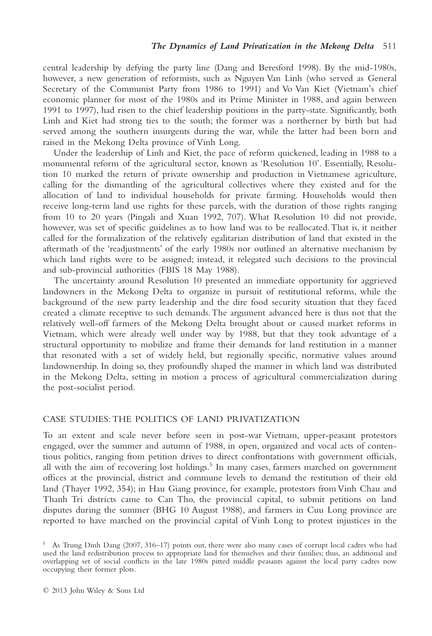central leadership by defying the party line (Dang and Beresford 1998). By the mid-1980s, however, a new generation of reformists, such as Nguyen Van Linh (who served as General Secretary of the Communist Party from 1986 to 1991) and Vo Van Kiet (Vietnam's chief economic planner for most of the 1980s and its Prime Minister in 1988, and again between 1991 to 1997), had risen to the chief leadership positions in the party-state. Significantly, both Linh and Kiet had strong ties to the south; the former was a northerner by birth but had served among the southern insurgents during the war, while the latter had been born and raised in the Mekong Delta province of Vinh Long.

Under the leadership of Linh and Kiet, the pace of reform quickened, leading in 1988 to a monumental reform of the agricultural sector, known as 'Resolution 10'. Essentially, Resolution 10 marked the return of private ownership and production in Vietnamese agriculture, calling for the dismantling of the agricultural collectives where they existed and for the allocation of land to individual households for private farming. Households would then receive long-term land use rights for these parcels, with the duration of those rights ranging from 10 to 20 years (Pingali and Xuan 1992, 707). What Resolution 10 did not provide, however, was set of specific guidelines as to how land was to be reallocated.That is, it neither called for the formalization of the relatively egalitarian distribution of land that existed in the aftermath of the 'readjustments' of the early 1980s nor outlined an alternative mechanism by which land rights were to be assigned; instead, it relegated such decisions to the provincial and sub-provincial authorities (FBIS 18 May 1988).

The uncertainty around Resolution 10 presented an immediate opportunity for aggrieved landowners in the Mekong Delta to organize in pursuit of restitutional reforms, while the background of the new party leadership and the dire food security situation that they faced created a climate receptive to such demands.The argument advanced here is thus not that the relatively well-off farmers of the Mekong Delta brought about or caused market reforms in Vietnam, which were already well under way by 1988, but that they took advantage of a structural opportunity to mobilize and frame their demands for land restitution in a manner that resonated with a set of widely held, but regionally specific, normative values around landownership. In doing so, they profoundly shaped the manner in which land was distributed in the Mekong Delta, setting in motion a process of agricultural commercialization during the post-socialist period.

#### CASE STUDIES: THE POLITICS OF LAND PRIVATIZATION

To an extent and scale never before seen in post-war Vietnam, upper-peasant protestors engaged, over the summer and autumn of 1988, in open, organized and vocal acts of contentious politics, ranging from petition drives to direct confrontations with government officials, all with the aim of recovering lost holdings.<sup>5</sup> In many cases, farmers marched on government offices at the provincial, district and commune levels to demand the restitution of their old land (Thayer 1992, 354); in Hau Giang province, for example, protestors from Vinh Chau and Thanh Tri districts came to Can Tho, the provincial capital, to submit petitions on land disputes during the summer (BHG 10 August 1988), and farmers in Cuu Long province are reported to have marched on the provincial capital of Vinh Long to protest injustices in the

<sup>5</sup> As Trung Dinh Dang (2007, 316–17) points out, there were also many cases of corrupt local cadres who had used the land redistribution process to appropriate land for themselves and their families; thus, an additional and overlapping set of social conflicts in the late 1980s pitted middle peasants against the local party cadres now occupying their former plots.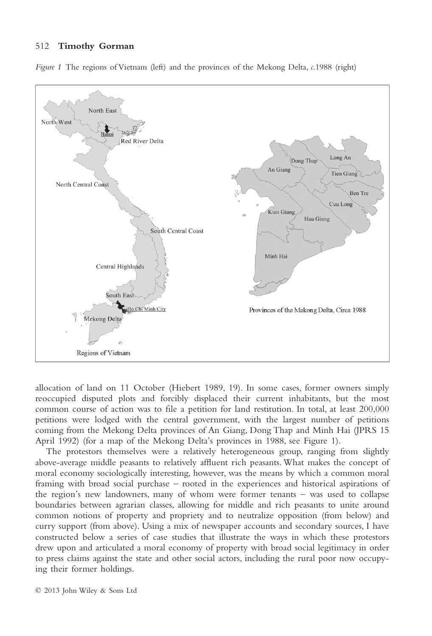*Figure 1* The regions of Vietnam (left) and the provinces of the Mekong Delta, *c*.1988 (right)



allocation of land on 11 October (Hiebert 1989, 19). In some cases, former owners simply reoccupied disputed plots and forcibly displaced their current inhabitants, but the most common course of action was to file a petition for land restitution. In total, at least 200,000 petitions were lodged with the central government, with the largest number of petitions coming from the Mekong Delta provinces of An Giang, Dong Thap and Minh Hai (JPRS 15 April 1992) (for a map of the Mekong Delta's provinces in 1988, see Figure 1).

The protestors themselves were a relatively heterogeneous group, ranging from slightly above-average middle peasants to relatively affluent rich peasants.What makes the concept of moral economy sociologically interesting, however, was the means by which a common moral framing with broad social purchase – rooted in the experiences and historical aspirations of the region's new landowners, many of whom were former tenants – was used to collapse boundaries between agrarian classes, allowing for middle and rich peasants to unite around common notions of property and propriety and to neutralize opposition (from below) and curry support (from above). Using a mix of newspaper accounts and secondary sources, I have constructed below a series of case studies that illustrate the ways in which these protestors drew upon and articulated a moral economy of property with broad social legitimacy in order to press claims against the state and other social actors, including the rural poor now occupying their former holdings.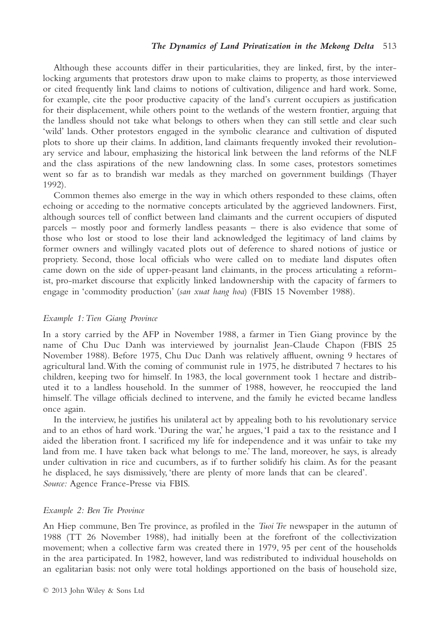#### *The Dynamics of Land Privatization in the Mekong Delta* 513

Although these accounts differ in their particularities, they are linked, first, by the interlocking arguments that protestors draw upon to make claims to property, as those interviewed or cited frequently link land claims to notions of cultivation, diligence and hard work. Some, for example, cite the poor productive capacity of the land's current occupiers as justification for their displacement, while others point to the wetlands of the western frontier, arguing that the landless should not take what belongs to others when they can still settle and clear such 'wild' lands. Other protestors engaged in the symbolic clearance and cultivation of disputed plots to shore up their claims. In addition, land claimants frequently invoked their revolutionary service and labour, emphasizing the historical link between the land reforms of the NLF and the class aspirations of the new landowning class. In some cases, protestors sometimes went so far as to brandish war medals as they marched on government buildings (Thayer 1992).

Common themes also emerge in the way in which others responded to these claims, often echoing or acceding to the normative concepts articulated by the aggrieved landowners. First, although sources tell of conflict between land claimants and the current occupiers of disputed parcels – mostly poor and formerly landless peasants – there is also evidence that some of those who lost or stood to lose their land acknowledged the legitimacy of land claims by former owners and willingly vacated plots out of deference to shared notions of justice or propriety. Second, those local officials who were called on to mediate land disputes often came down on the side of upper-peasant land claimants, in the process articulating a reformist, pro-market discourse that explicitly linked landownership with the capacity of farmers to engage in 'commodity production' (*san xuat hang hoa*) (FBIS 15 November 1988).

#### *Example 1: Tien Giang Province*

In a story carried by the AFP in November 1988, a farmer in Tien Giang province by the name of Chu Duc Danh was interviewed by journalist Jean-Claude Chapon (FBIS 25 November 1988). Before 1975, Chu Duc Danh was relatively affluent, owning 9 hectares of agricultural land.With the coming of communist rule in 1975, he distributed 7 hectares to his children, keeping two for himself. In 1983, the local government took 1 hectare and distributed it to a landless household. In the summer of 1988, however, he reoccupied the land himself. The village officials declined to intervene, and the family he evicted became landless once again.

In the interview, he justifies his unilateral act by appealing both to his revolutionary service and to an ethos of hard work. 'During the war,' he argues, 'I paid a tax to the resistance and I aided the liberation front. I sacrificed my life for independence and it was unfair to take my land from me. I have taken back what belongs to me.' The land, moreover, he says, is already under cultivation in rice and cucumbers, as if to further solidify his claim. As for the peasant he displaced, he says dismissively, 'there are plenty of more lands that can be cleared'. *Source:* Agence France-Presse via FBIS.

#### *Example 2: Ben Tre Province*

An Hiep commune, Ben Tre province, as profiled in the *Tuoi Tre* newspaper in the autumn of 1988 (TT 26 November 1988), had initially been at the forefront of the collectivization movement; when a collective farm was created there in 1979, 95 per cent of the households in the area participated. In 1982, however, land was redistributed to individual households on an egalitarian basis: not only were total holdings apportioned on the basis of household size,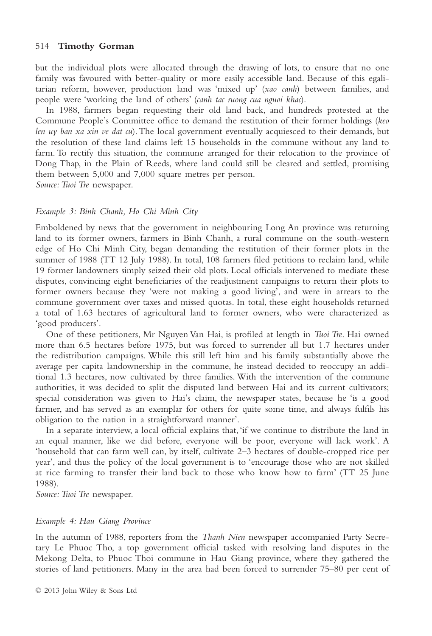but the individual plots were allocated through the drawing of lots, to ensure that no one family was favoured with better-quality or more easily accessible land. Because of this egalitarian reform, however, production land was 'mixed up' (*xao canh*) between families, and people were 'working the land of others' (*canh tac ruong cua nguoi khac*).

In 1988, farmers began requesting their old land back, and hundreds protested at the Commune People's Committee office to demand the restitution of their former holdings (*keo len uy ban xa xin ve dat cu*).The local government eventually acquiesced to their demands, but the resolution of these land claims left 15 households in the commune without any land to farm. To rectify this situation, the commune arranged for their relocation to the province of Dong Thap, in the Plain of Reeds, where land could still be cleared and settled, promising them between 5,000 and 7,000 square metres per person. *Source: Tuoi Tre* newspaper.

#### *Example 3: Binh Chanh, Ho Chi Minh City*

Emboldened by news that the government in neighbouring Long An province was returning land to its former owners, farmers in Binh Chanh, a rural commune on the south-western edge of Ho Chi Minh City, began demanding the restitution of their former plots in the summer of 1988 (TT 12 July 1988). In total, 108 farmers filed petitions to reclaim land, while 19 former landowners simply seized their old plots. Local officials intervened to mediate these disputes, convincing eight beneficiaries of the readjustment campaigns to return their plots to former owners because they 'were not making a good living', and were in arrears to the commune government over taxes and missed quotas. In total, these eight households returned a total of 1.63 hectares of agricultural land to former owners, who were characterized as 'good producers'.

One of these petitioners, Mr Nguyen Van Hai, is profiled at length in *Tuoi Tre*. Hai owned more than 6.5 hectares before 1975, but was forced to surrender all but 1.7 hectares under the redistribution campaigns. While this still left him and his family substantially above the average per capita landownership in the commune, he instead decided to reoccupy an additional 1.3 hectares, now cultivated by three families. With the intervention of the commune authorities, it was decided to split the disputed land between Hai and its current cultivators; special consideration was given to Hai's claim, the newspaper states, because he 'is a good farmer, and has served as an exemplar for others for quite some time, and always fulfils his obligation to the nation in a straightforward manner'.

In a separate interview, a local official explains that, 'if we continue to distribute the land in an equal manner, like we did before, everyone will be poor, everyone will lack work'. A 'household that can farm well can, by itself, cultivate 2–3 hectares of double-cropped rice per year', and thus the policy of the local government is to 'encourage those who are not skilled at rice farming to transfer their land back to those who know how to farm' (TT 25 June 1988).

*Source: Tuoi Tre* newspaper.

#### *Example 4: Hau Giang Province*

In the autumn of 1988, reporters from the *Thanh Nien* newspaper accompanied Party Secretary Le Phuoc Tho, a top government official tasked with resolving land disputes in the Mekong Delta, to Phuoc Thoi commune in Hau Giang province, where they gathered the stories of land petitioners. Many in the area had been forced to surrender 75–80 per cent of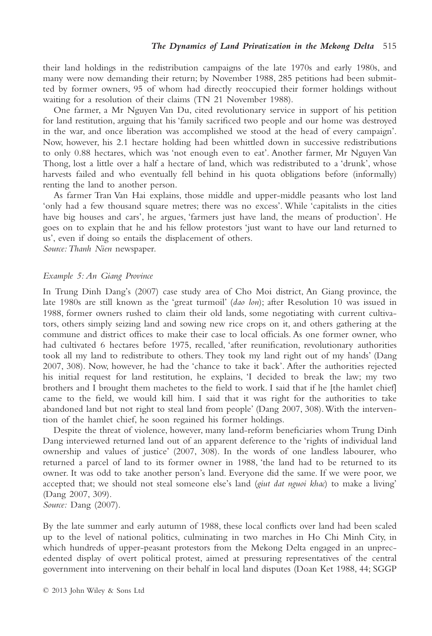their land holdings in the redistribution campaigns of the late 1970s and early 1980s, and many were now demanding their return; by November 1988, 285 petitions had been submitted by former owners, 95 of whom had directly reoccupied their former holdings without waiting for a resolution of their claims (TN 21 November 1988).

One farmer, a Mr Nguyen Van Du, cited revolutionary service in support of his petition for land restitution, arguing that his 'family sacrificed two people and our home was destroyed in the war, and once liberation was accomplished we stood at the head of every campaign'. Now, however, his 2.1 hectare holding had been whittled down in successive redistributions to only 0.88 hectares, which was 'not enough even to eat'. Another farmer, Mr Nguyen Van Thong, lost a little over a half a hectare of land, which was redistributed to a 'drunk', whose harvests failed and who eventually fell behind in his quota obligations before (informally) renting the land to another person.

As farmer Tran Van Hai explains, those middle and upper-middle peasants who lost land 'only had a few thousand square metres; there was no excess'. While 'capitalists in the cities have big houses and cars', he argues, 'farmers just have land, the means of production'. He goes on to explain that he and his fellow protestors 'just want to have our land returned to us', even if doing so entails the displacement of others. *Source: Thanh Nien* newspaper.

#### *Example 5: An Giang Province*

In Trung Dinh Dang's (2007) case study area of Cho Moi district, An Giang province, the late 1980s are still known as the 'great turmoil' (*dao lon*); after Resolution 10 was issued in 1988, former owners rushed to claim their old lands, some negotiating with current cultivators, others simply seizing land and sowing new rice crops on it, and others gathering at the commune and district offices to make their case to local officials. As one former owner, who had cultivated 6 hectares before 1975, recalled, 'after reunification, revolutionary authorities took all my land to redistribute to others. They took my land right out of my hands' (Dang 2007, 308). Now, however, he had the 'chance to take it back'. After the authorities rejected his initial request for land restitution, he explains, 'I decided to break the law; my two brothers and I brought them machetes to the field to work. I said that if he [the hamlet chief] came to the field, we would kill him. I said that it was right for the authorities to take abandoned land but not right to steal land from people' (Dang 2007, 308).With the intervention of the hamlet chief, he soon regained his former holdings.

Despite the threat of violence, however, many land-reform beneficiaries whom Trung Dinh Dang interviewed returned land out of an apparent deference to the 'rights of individual land ownership and values of justice' (2007, 308). In the words of one landless labourer, who returned a parcel of land to its former owner in 1988, 'the land had to be returned to its owner. It was odd to take another person's land. Everyone did the same. If we were poor, we accepted that; we should not steal someone else's land (*giut dat nguoi khac*) to make a living' (Dang 2007, 309).

*Source:* Dang (2007).

By the late summer and early autumn of 1988, these local conflicts over land had been scaled up to the level of national politics, culminating in two marches in Ho Chi Minh City, in which hundreds of upper-peasant protestors from the Mekong Delta engaged in an unprecedented display of overt political protest, aimed at pressuring representatives of the central government into intervening on their behalf in local land disputes (Doan Ket 1988, 44; SGGP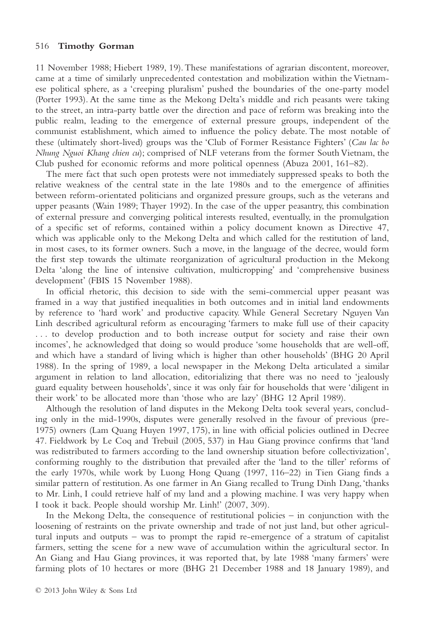11 November 1988; Hiebert 1989, 19).These manifestations of agrarian discontent, moreover, came at a time of similarly unprecedented contestation and mobilization within the Vietnamese political sphere, as a 'creeping pluralism' pushed the boundaries of the one-party model (Porter 1993). At the same time as the Mekong Delta's middle and rich peasants were taking to the street, an intra-party battle over the direction and pace of reform was breaking into the public realm, leading to the emergence of external pressure groups, independent of the communist establishment, which aimed to influence the policy debate. The most notable of these (ultimately short-lived) groups was the 'Club of Former Resistance Fighters' (*Cau lac bo Nhung Nguoi Khang chien cu*); comprised of NLF veterans from the former South Vietnam, the Club pushed for economic reforms and more political openness (Abuza 2001, 161–82).

The mere fact that such open protests were not immediately suppressed speaks to both the relative weakness of the central state in the late 1980s and to the emergence of affinities between reform-orientated politicians and organized pressure groups, such as the veterans and upper peasants (Wain 1989; Thayer 1992). In the case of the upper peasantry, this combination of external pressure and converging political interests resulted, eventually, in the promulgation of a specific set of reforms, contained within a policy document known as Directive 47, which was applicable only to the Mekong Delta and which called for the restitution of land, in most cases, to its former owners. Such a move, in the language of the decree, would form the first step towards the ultimate reorganization of agricultural production in the Mekong Delta 'along the line of intensive cultivation, multicropping' and 'comprehensive business development' (FBIS 15 November 1988).

In official rhetoric, this decision to side with the semi-commercial upper peasant was framed in a way that justified inequalities in both outcomes and in initial land endowments by reference to 'hard work' and productive capacity. While General Secretary Nguyen Van Linh described agricultural reform as encouraging 'farmers to make full use of their capacity . . . to develop production and to both increase output for society and raise their own incomes', he acknowledged that doing so would produce 'some households that are well-off, and which have a standard of living which is higher than other households' (BHG 20 April 1988). In the spring of 1989, a local newspaper in the Mekong Delta articulated a similar argument in relation to land allocation, editorializing that there was no need to 'jealously guard equality between households', since it was only fair for households that were 'diligent in their work' to be allocated more than 'those who are lazy' (BHG 12 April 1989).

Although the resolution of land disputes in the Mekong Delta took several years, concluding only in the mid-1990s, disputes were generally resolved in the favour of previous (pre-1975) owners (Lam Quang Huyen 1997, 175), in line with official policies outlined in Decree 47. Fieldwork by Le Coq and Trebuil (2005, 537) in Hau Giang province confirms that 'land was redistributed to farmers according to the land ownership situation before collectivization', conforming roughly to the distribution that prevailed after the 'land to the tiller' reforms of the early 1970s, while work by Luong Hong Quang (1997, 116–22) in Tien Giang finds a similar pattern of restitution. As one farmer in An Giang recalled to Trung Dinh Dang, 'thanks to Mr. Linh, I could retrieve half of my land and a plowing machine. I was very happy when I took it back. People should worship Mr. Linh!' (2007, 309).

In the Mekong Delta, the consequence of restitutional policies – in conjunction with the loosening of restraints on the private ownership and trade of not just land, but other agricultural inputs and outputs – was to prompt the rapid re-emergence of a stratum of capitalist farmers, setting the scene for a new wave of accumulation within the agricultural sector. In An Giang and Hau Giang provinces, it was reported that, by late 1988 'many farmers' were farming plots of 10 hectares or more (BHG 21 December 1988 and 18 January 1989), and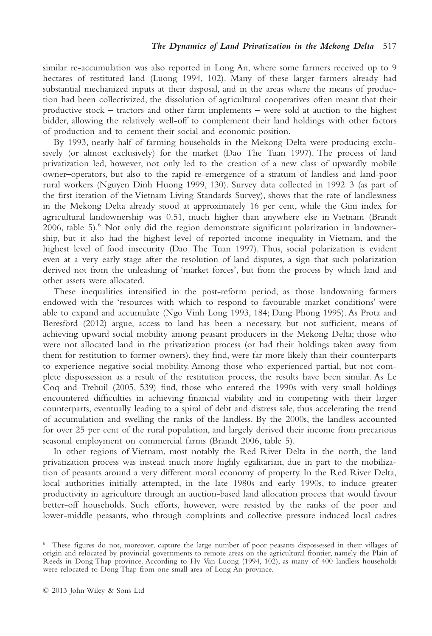similar re-accumulation was also reported in Long An, where some farmers received up to 9 hectares of restituted land (Luong 1994, 102). Many of these larger farmers already had substantial mechanized inputs at their disposal, and in the areas where the means of production had been collectivized, the dissolution of agricultural cooperatives often meant that their productive stock – tractors and other farm implements – were sold at auction to the highest bidder, allowing the relatively well-off to complement their land holdings with other factors of production and to cement their social and economic position.

By 1993, nearly half of farming households in the Mekong Delta were producing exclusively (or almost exclusively) for the market (Dao The Tuan 1997). The process of land privatization led, however, not only led to the creation of a new class of upwardly mobile owner–operators, but also to the rapid re-emergence of a stratum of landless and land-poor rural workers (Nguyen Dinh Huong 1999, 130). Survey data collected in 1992–3 (as part of the first iteration of the Vietnam Living Standards Survey), shows that the rate of landlessness in the Mekong Delta already stood at approximately 16 per cent, while the Gini index for agricultural landownership was 0.51, much higher than anywhere else in Vietnam (Brandt  $2006$ , table 5).<sup>6</sup> Not only did the region demonstrate significant polarization in landownership, but it also had the highest level of reported income inequality in Vietnam, and the highest level of food insecurity (Dao The Tuan 1997). Thus, social polarization is evident even at a very early stage after the resolution of land disputes, a sign that such polarization derived not from the unleashing of 'market forces', but from the process by which land and other assets were allocated.

These inequalities intensified in the post-reform period, as those landowning farmers endowed with the 'resources with which to respond to favourable market conditions' were able to expand and accumulate (Ngo Vinh Long 1993, 184; Dang Phong 1995). As Prota and Beresford (2012) argue, access to land has been a necessary, but not sufficient, means of achieving upward social mobility among peasant producers in the Mekong Delta; those who were not allocated land in the privatization process (or had their holdings taken away from them for restitution to former owners), they find, were far more likely than their counterparts to experience negative social mobility. Among those who experienced partial, but not complete dispossession as a result of the restitution process, the results have been similar. As Le Coq and Trebuil (2005, 539) find, those who entered the 1990s with very small holdings encountered difficulties in achieving financial viability and in competing with their larger counterparts, eventually leading to a spiral of debt and distress sale, thus accelerating the trend of accumulation and swelling the ranks of the landless. By the 2000s, the landless accounted for over 25 per cent of the rural population, and largely derived their income from precarious seasonal employment on commercial farms (Brandt 2006, table 5).

In other regions of Vietnam, most notably the Red River Delta in the north, the land privatization process was instead much more highly egalitarian, due in part to the mobilization of peasants around a very different moral economy of property. In the Red River Delta, local authorities initially attempted, in the late 1980s and early 1990s, to induce greater productivity in agriculture through an auction-based land allocation process that would favour better-off households. Such efforts, however, were resisted by the ranks of the poor and lower-middle peasants, who through complaints and collective pressure induced local cadres

<sup>6</sup> These figures do not, moreover, capture the large number of poor peasants dispossessed in their villages of origin and relocated by provincial governments to remote areas on the agricultural frontier, namely the Plain of Reeds in Dong Thap province. According to Hy Van Luong (1994, 102), as many of 400 landless households were relocated to Dong Thap from one small area of Long An province.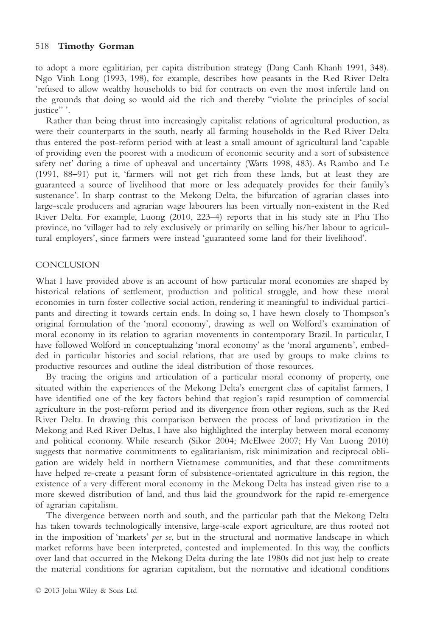to adopt a more egalitarian, per capita distribution strategy (Dang Canh Khanh 1991, 348). Ngo Vinh Long (1993, 198), for example, describes how peasants in the Red River Delta 'refused to allow wealthy households to bid for contracts on even the most infertile land on the grounds that doing so would aid the rich and thereby "violate the principles of social justice" '.

Rather than being thrust into increasingly capitalist relations of agricultural production, as were their counterparts in the south, nearly all farming households in the Red River Delta thus entered the post-reform period with at least a small amount of agricultural land 'capable of providing even the poorest with a modicum of economic security and a sort of subsistence safety net' during a time of upheaval and uncertainty (Watts 1998, 483). As Rambo and Le (1991, 88–91) put it, 'farmers will not get rich from these lands, but at least they are guaranteed a source of livelihood that more or less adequately provides for their family's sustenance'. In sharp contrast to the Mekong Delta, the bifurcation of agrarian classes into large-scale producers and agrarian wage labourers has been virtually non-existent in the Red River Delta. For example, Luong (2010, 223–4) reports that in his study site in Phu Tho province, no 'villager had to rely exclusively or primarily on selling his/her labour to agricultural employers', since farmers were instead 'guaranteed some land for their livelihood'.

#### **CONCLUSION**

What I have provided above is an account of how particular moral economies are shaped by historical relations of settlement, production and political struggle, and how these moral economies in turn foster collective social action, rendering it meaningful to individual participants and directing it towards certain ends. In doing so, I have hewn closely to Thompson's original formulation of the 'moral economy', drawing as well on Wolford's examination of moral economy in its relation to agrarian movements in contemporary Brazil. In particular, I have followed Wolford in conceptualizing 'moral economy' as the 'moral arguments', embedded in particular histories and social relations, that are used by groups to make claims to productive resources and outline the ideal distribution of those resources.

By tracing the origins and articulation of a particular moral economy of property, one situated within the experiences of the Mekong Delta's emergent class of capitalist farmers, I have identified one of the key factors behind that region's rapid resumption of commercial agriculture in the post-reform period and its divergence from other regions, such as the Red River Delta. In drawing this comparison between the process of land privatization in the Mekong and Red River Deltas, I have also highlighted the interplay between moral economy and political economy. While research (Sikor 2004; McElwee 2007; Hy Van Luong 2010) suggests that normative commitments to egalitarianism, risk minimization and reciprocal obligation are widely held in northern Vietnamese communities, and that these commitments have helped re-create a peasant form of subsistence-orientated agriculture in this region, the existence of a very different moral economy in the Mekong Delta has instead given rise to a more skewed distribution of land, and thus laid the groundwork for the rapid re-emergence of agrarian capitalism.

The divergence between north and south, and the particular path that the Mekong Delta has taken towards technologically intensive, large-scale export agriculture, are thus rooted not in the imposition of 'markets' *per se*, but in the structural and normative landscape in which market reforms have been interpreted, contested and implemented. In this way, the conflicts over land that occurred in the Mekong Delta during the late 1980s did not just help to create the material conditions for agrarian capitalism, but the normative and ideational conditions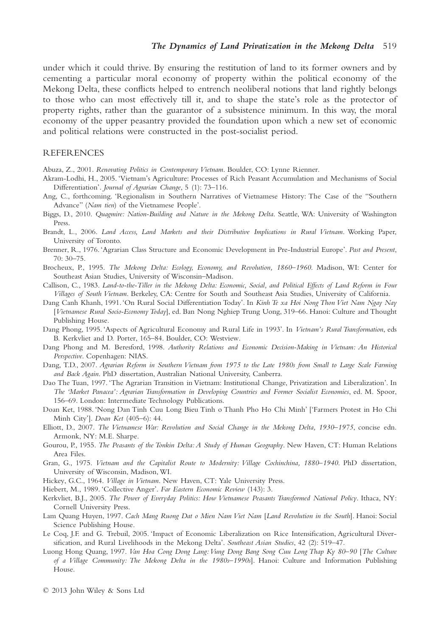under which it could thrive. By ensuring the restitution of land to its former owners and by cementing a particular moral economy of property within the political economy of the Mekong Delta, these conflicts helped to entrench neoliberal notions that land rightly belongs to those who can most effectively till it, and to shape the state's role as the protector of property rights, rather than the guarantor of a subsistence minimum. In this way, the moral economy of the upper peasantry provided the foundation upon which a new set of economic and political relations were constructed in the post-socialist period.

#### **REFERENCES**

Abuza, Z., 2001. *Renovating Politics in Contemporary Vietnam*. Boulder, CO: Lynne Rienner.

- Akram-Lodhi, H., 2005. 'Vietnam's Agriculture: Processes of Rich Peasant Accumulation and Mechanisms of Social Differentiation'. *Journal of Agrarian Change*, 5 (1): 73–116.
- Ang, C., forthcoming. 'Regionalism in Southern Narratives of Vietnamese History: The Case of the "Southern Advance" (*Nam tien*) of the Vietnamese People'.
- Biggs, D., 2010. *Quagmire: Nation-Building and Nature in the Mekong Delta*. Seattle, WA: University of Washington Press.
- Brandt, L., 2006. *Land Access, Land Markets and their Distributive Implications in Rural Vietnam*. Working Paper, University of Toronto.
- Brenner, R., 1976. 'Agrarian Class Structure and Economic Development in Pre-Industrial Europe'. *Past and Present*, 70: 30–75.
- Brocheux, P., 1995. *The Mekong Delta: Ecology, Economy, and Revolution, 1860–1960*. Madison, WI: Center for Southeast Asian Studies, University of Wisconsin–Madison.
- Callison, C., 1983. *Land-to-the-Tiller in the Mekong Delta: Economic, Social, and Political Effects of Land Reform in Four Villages of South Vietnam*. Berkeley, CA: Centre for South and Southeast Asia Studies, University of California.
- Dang Canh Khanh, 1991. 'On Rural Social Differentiation Today'. In *Kinh Te xa Hoi Nong Thon Viet Nam Ngay Nay* [*Vietnamese Rural Socio-Economy Today*], ed. Ban Nong Nghiep Trung Uong, 319–66. Hanoi: Culture and Thought Publishing House.
- Dang Phong, 1995. 'Aspects of Agricultural Economy and Rural Life in 1993'. In *Vietnam's Rural Transformation*, eds B. Kerkvliet and D. Porter, 165–84. Boulder, CO: Westview.
- Dang Phong and M. Beresford, 1998. *Authority Relations and Economic Decision-Making in Vietnam: An Historical Perspective*. Copenhagen: NIAS.
- Dang, T.D., 2007. *Agrarian Reform in Southern Vietnam from 1975 to the Late 1980s from Small to Large Scale Farming and Back Again*. PhD dissertation, Australian National University, Canberra.
- Dao The Tuan, 1997. 'The Agrarian Transition in Vietnam: Institutional Change, Privatization and Liberalization'. In *The 'Market Panacea': Agrarian Transformation in Developing Countries and Former Socialist Economies*, ed. M. Spoor, 156–69. London: Intermediate Technology Publications.
- Doan Ket, 1988. 'Nong Dan Tinh Cuu Long Bieu Tinh o Thanh Pho Ho Chi Minh' ['Farmers Protest in Ho Chi Minh City']. *Doan Ket* (405–6): 44.
- Elliott, D., 2007. *The Vietnamese War: Revolution and Social Change in the Mekong Delta, 1930–1975*, concise edn. Armonk, NY: M.E. Sharpe.
- Gourou, P., 1955. *The Peasants of the Tonkin Delta: A Study of Human Geography*. New Haven, CT: Human Relations Area Files.
- Gran, G., 1975. *Vietnam and the Capitalist Route to Modernity: Village Cochinchina, 1880–1940*. PhD dissertation, University of Wisconsin, Madison,WI.
- Hickey, G.C., 1964. *Village in Vietnam*. New Haven, CT: Yale University Press.
- Hiebert, M., 1989. 'Collective Anger'. *Far Eastern Economic Review* (143): 3.
- Kerkvliet, B.J., 2005. *The Power of Everyday Politics: How Vietnamese Peasants Transformed National Policy*. Ithaca, NY: Cornell University Press.
- Lam Quang Huyen, 1997. *Cach Mang Ruong Dat o Mien Nam Viet Nam* [*Land Revolution in the South*]. Hanoi: Social Science Publishing House.
- Le Coq, J.F. and G. Trebuil, 2005. 'Impact of Economic Liberalization on Rice Intensification, Agricultural Diversification, and Rural Livelihoods in the Mekong Delta'. *Southeast Asian Studies*, 42 (2): 519–47.
- Luong Hong Quang, 1997. *Van Hoa Cong Dong Lang:Vung Dong Bang Song Cuu Long Thap Ky 80–90* [*The Culture of a Village Community: The Mekong Delta in the 1980s–1990s*]. Hanoi: Culture and Information Publishing House.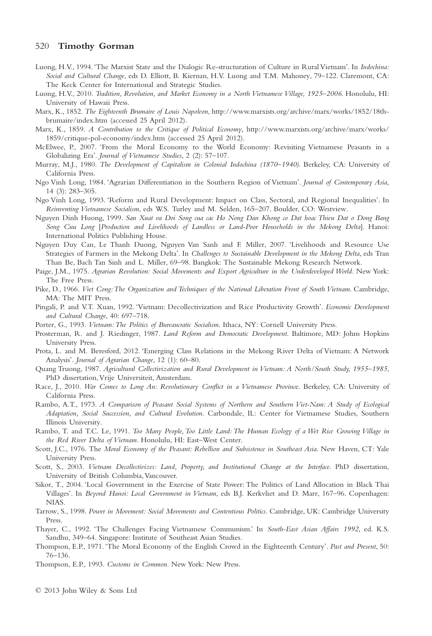- Luong, H.V., 1994. 'The Marxist State and the Dialogic Re-structuration of Culture in Rural Vietnam'. In *Indochina: Social and Cultural Change*, eds D. Elliott, B. Kiernan, H.V. Luong and T.M. Mahoney, 79–122. Claremont, CA: The Keck Center for International and Strategic Studies.
- Luong, H.V., 2010. *Tradition, Revolution, and Market Economy in a North Vietnamese Village, 1925–2006*. Honolulu, HI: University of Hawaii Press.
- Marx, K., 1852. *The Eighteenth Brumaire of Louis Napoleon*, [http://www.marxists.org/archive/marx/works/1852/18th](http://www.marxists.org/archive/marx/works/1852/18th-brumaire/index.htm)[brumaire/index.htm](http://www.marxists.org/archive/marx/works/1852/18th-brumaire/index.htm) (accessed 25 April 2012).
- Marx, K., 1859. *A Contribution to the Critique of Political Economy*, [http://www.marxists.org/archive/marx/works/](http://www.marxists.org/archive/marx/works/1859/critique-pol-economy/index.htm) [1859/critique-pol-economy/index.htm](http://www.marxists.org/archive/marx/works/1859/critique-pol-economy/index.htm) (accessed 25 April 2012).
- McElwee, P., 2007. 'From the Moral Economy to the World Economy: Revisiting Vietnamese Peasants in a Globalizing Era'. *Journal of Vietnamese Studies*, 2 (2): 57–107.
- Murray, M.J., 1980. *The Development of Capitalism in Colonial Indochina (1870–1940)*. Berkeley, CA: University of California Press.
- Ngo Vinh Long, 1984. 'Agrarian Differentiation in the Southern Region of Vietnam'. *Journal of Contemporary Asia*, 14 (3): 283–305.
- Ngo Vinh Long, 1993. 'Reform and Rural Development: Impact on Class, Sectoral, and Regional Inequalities'. In *Reinventing Vietnamese Socialism*, eds W.S. Turley and M. Selden, 165–207. Boulder, CO: Westview.
- Nguyen Dinh Huong, 1999. *San Xuat va Doi Song cua cac Ho Nong Dan Khong co Dat hoac Thieu Dat o Dong Bang Song Cuu Long* [*Production and Livelihoods of Landless or Land-Poor Households in the Mekong Delta*]. Hanoi: International Politics Publishing House.
- Nguyen Duy Can, Le Thanh Duong, Nguyen Van Sanh and F. Miller, 2007. 'Livelihoods and Resource Use Strategies of Farmers in the Mekong Delta'. In *Challenges to Sustainable Development in the Mekong Delta*, eds Tran Than Be, Bach Tan Sinh and L. Miller, 69–98. Bangkok: The Sustainable Mekong Research Network.
- Paige, J.M., 1975. *Agrarian Revolution: Social Movements and Export Agriculture in the Underdeveloped World*. New York: The Free Press.
- Pike, D., 1966. *Viet Cong:The Organization and Techniques of the National Liberation Front of South Vietnam*. Cambridge, MA: The MIT Press.
- Pingali, P. and V.T. Xuan, 1992. 'Vietnam: Decollectivization and Rice Productivity Growth'. *Economic Development and Cultural Change*, 40: 697–718.
- Porter, G., 1993. *Vietnam: The Politics of Bureaucratic Socialism*. Ithaca, NY: Cornell University Press.
- Prosterman, R. and J. Riedinger, 1987. *Land Reform and Democratic Development*. Baltimore, MD: Johns Hopkins University Press.
- Prota, L. and M. Beresford, 2012. 'Emerging Class Relations in the Mekong River Delta of Vietnam: A Network Analysis'. *Journal of Agrarian Change*, 12 (1): 60–80.
- Quang Truong, 1987. *Agricultural Collectivization and Rural Development in Vietnam: A North/South Study, 1955–1985*, PhD dissertation,Vrije Universiteit, Amsterdam.
- Race, J., 2010. *War Comes to Long An: Revolutionary Conflict in a Vietnamese Provinc*e. Berkeley, CA: University of California Press.
- Rambo, A.T., 1973. *A Comparison of Peasant Social Systems of Northern and Southern Viet-Nam: A Study of Ecological Adaptation, Social Succession, and Cultural Evolution*. Carbondale, IL: Center for Vietnamese Studies, Southern Illinois University.
- Rambo, T. and T.C. Le, 1991. *Too Many People, Too Little Land: The Human Ecology of a Wet Rice Growing Village in the Red River Delta of Vietnam*. Honolulu, HI: East–West Center.
- Scott, J.C., 1976. The *Moral Economy of the Peasant: Rebellion and Subsistence in Southeast Asia*. New Haven, CT: Yale University Press.
- Scott, S., 2003. *Vietnam Decollectivizes: Land, Property, and Institutional Change at the Interface*. PhD dissertation, University of British Columbia,Vancouver.
- Sikor, T., 2004. 'Local Government in the Exercise of State Power: The Politics of Land Allocation in Black Thai Villages'. In *Beyond Hanoi: Local Government in Vietnam*, eds B.J. Kerkvliet and D. Marr, 167–96. Copenhagen: NIAS.
- Tarrow, S., 1998. *Power in Movement: Social Movements and Contentious Politics*. Cambridge, UK: Cambridge University Press.
- Thayer, C., 1992. 'The Challenges Facing Vietnamese Communism.' In *South-East Asian Affairs 1992*, ed. K.S. Sandhu, 349–64. Singapore: Institute of Southeast Asian Studies.
- Thompson, E.P., 1971. 'The Moral Economy of the English Crowd in the Eighteenth Century'. *Past and Present*, 50: 76–136.
- Thompson, E.P., 1993. *Customs in Common*. New York: New Press.